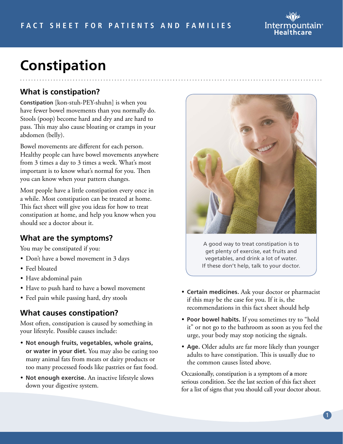

# **Constipation**

## **What is constipation?**

**Constipation** [kon-stuh-PEY-shuhn] is when you have fewer bowel movements than you normally do. Stools (poop) become hard and dry and are hard to pass. This may also cause bloating or cramps in your abdomen (belly).

Bowel movements are different for each person. Healthy people can have bowel movements anywhere from 3 times a day to 3 times a week. What's most important is to know what's normal for you. Then you can know when your pattern changes.

Most people have a little constipation every once in a while. Most constipation can be treated at home. This fact sheet will give you ideas for how to treat constipation at home, and help you know when you should see a doctor about it.

### **What are the symptoms?**

You may be constipated if you:

- Don't have a bowel movement in 3 days
- Feel bloated
- Have abdominal pain
- Have to push hard to have a bowel movement
- Feel pain while passing hard, dry stools

#### **What causes constipation?**

Most often, constipation is caused by something in your lifestyle. Possible causes include:

- **Not enough fruits, vegetables, whole grains, or water in your diet.** You may also be eating too many animal fats from meats or dairy products or too many processed foods like pastries or fast food.
- **Not enough exercise.** An inactive lifestyle slows down your digestive system.



A good way to treat constipation is to get plenty of exercise, eat fruits and vegetables, and drink a lot of water. If these don't help, talk to your doctor.

- **Certain medicines.** Ask your doctor or pharmacist if this may be the case for you. If it is, the recommendations in this fact sheet should help
- **Poor bowel habits.** If you sometimes try to "hold it" or not go to the bathroom as soon as you feel the urge, your body may stop noticing the signals.
- **Age.** Older adults are far more likely than younger adults to have constipation. This is usually due to the common causes listed above.

Occasionally, constipation is a symptom of **a** more serious condition. See the last section of this fact sheet for a list of signs that you should call your doctor about.